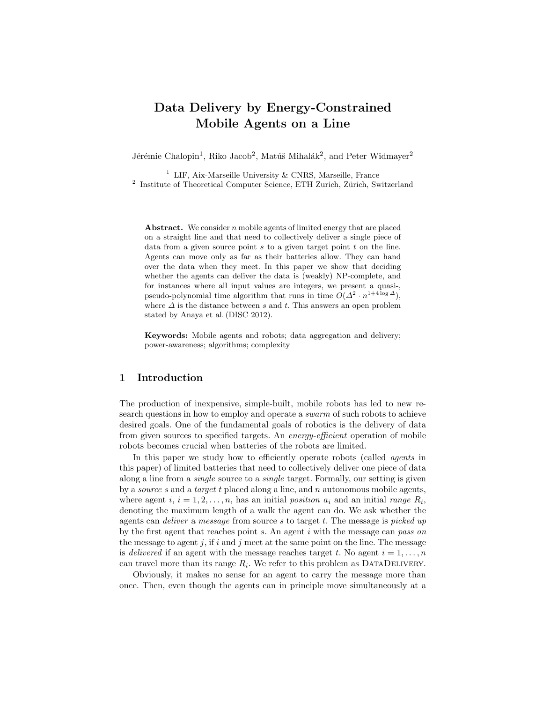# Data Delivery by Energy-Constrained Mobile Agents on a Line

Jérémie Chalopin<sup>1</sup>, Riko Jacob<sup>2</sup>, Matúš Mihalák<sup>2</sup>, and Peter Widmayer<sup>2</sup>

<sup>1</sup> LIF, Aix-Marseille University & CNRS, Marseille, France <sup>2</sup> Institute of Theoretical Computer Science, ETH Zurich, Zürich, Switzerland

Abstract. We consider  $n$  mobile agents of limited energy that are placed on a straight line and that need to collectively deliver a single piece of data from a given source point  $s$  to a given target point  $t$  on the line. Agents can move only as far as their batteries allow. They can hand over the data when they meet. In this paper we show that deciding whether the agents can deliver the data is (weakly) NP-complete, and for instances where all input values are integers, we present a quasi-, pseudo-polynomial time algorithm that runs in time  $O(\Delta^2 \cdot n^{1+4\log \Delta})$ , where  $\Delta$  is the distance between s and t. This answers an open problem stated by Anaya et al. (DISC 2012).

Keywords: Mobile agents and robots; data aggregation and delivery; power-awareness; algorithms; complexity

### 1 Introduction

The production of inexpensive, simple-built, mobile robots has led to new research questions in how to employ and operate a swarm of such robots to achieve desired goals. One of the fundamental goals of robotics is the delivery of data from given sources to specified targets. An energy-efficient operation of mobile robots becomes crucial when batteries of the robots are limited.

In this paper we study how to efficiently operate robots (called *agents* in this paper) of limited batteries that need to collectively deliver one piece of data along a line from a single source to a single target. Formally, our setting is given by a *source s* and a *target t* placed along a line, and n autonomous mobile agents, where agent  $i, i = 1, 2, \ldots, n$ , has an initial position  $a_i$  and an initial range  $R_i$ , denoting the maximum length of a walk the agent can do. We ask whether the agents can deliver a message from source s to target t. The message is picked up by the first agent that reaches point  $s$ . An agent  $i$  with the message can pass on the message to agent j, if i and j meet at the same point on the line. The message is delivered if an agent with the message reaches target t. No agent  $i = 1, \ldots, n$ can travel more than its range  $R_i$ . We refer to this problem as DATADELIVERY.

Obviously, it makes no sense for an agent to carry the message more than once. Then, even though the agents can in principle move simultaneously at a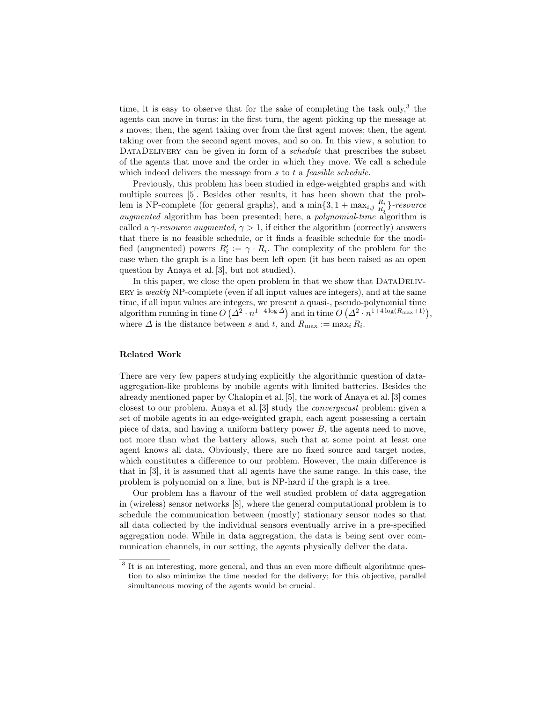time, it is easy to observe that for the sake of completing the task only,  $3$  the agents can move in turns: in the first turn, the agent picking up the message at s moves; then, the agent taking over from the first agent moves; then, the agent taking over from the second agent moves, and so on. In this view, a solution to DATADELIVERY can be given in form of a *schedule* that prescribes the subset of the agents that move and the order in which they move. We call a schedule which indeed delivers the message from s to t a *feasible schedule*.

Previously, this problem has been studied in edge-weighted graphs and with multiple sources [5]. Besides other results, it has been shown that the problem is NP-complete (for general graphs), and a  $\min\{3, 1 + \max_{i,j} \frac{R_i}{R_j}\}\text{-resource}$ augmented algorithm has been presented; here, a polynomial-time algorithm is called a  $\gamma$ -resource augmented,  $\gamma > 1$ , if either the algorithm (correctly) answers that there is no feasible schedule, or it finds a feasible schedule for the modified (augmented) powers  $R'_i := \gamma \cdot R_i$ . The complexity of the problem for the case when the graph is a line has been left open (it has been raised as an open question by Anaya et al. [3], but not studied).

In this paper, we close the open problem in that we show that DATADELIVery is weakly NP-complete (even if all input values are integers), and at the same time, if all input values are integers, we present a quasi-, pseudo-polynomial time algorithm running in time  $O( \Delta^2 \cdot n^{1+4 \log \Delta})$  and in time  $O(\Delta^2 \cdot n^{1+4 \log (R_{\max}+1)}),$ where  $\Delta$  is the distance between s and t, and  $R_{\text{max}} := \max_i R_i$ .

#### Related Work

There are very few papers studying explicitly the algorithmic question of dataaggregation-like problems by mobile agents with limited batteries. Besides the already mentioned paper by Chalopin et al. [5], the work of Anaya et al. [3] comes closest to our problem. Anaya et al. [3] study the convergecast problem: given a set of mobile agents in an edge-weighted graph, each agent possessing a certain piece of data, and having a uniform battery power B, the agents need to move, not more than what the battery allows, such that at some point at least one agent knows all data. Obviously, there are no fixed source and target nodes, which constitutes a difference to our problem. However, the main difference is that in [3], it is assumed that all agents have the same range. In this case, the problem is polynomial on a line, but is NP-hard if the graph is a tree.

Our problem has a flavour of the well studied problem of data aggregation in (wireless) sensor networks [8], where the general computational problem is to schedule the communication between (mostly) stationary sensor nodes so that all data collected by the individual sensors eventually arrive in a pre-specified aggregation node. While in data aggregation, the data is being sent over communication channels, in our setting, the agents physically deliver the data.

<sup>&</sup>lt;sup>3</sup> It is an interesting, more general, and thus an even more difficult algorihtmic question to also minimize the time needed for the delivery; for this objective, parallel simultaneous moving of the agents would be crucial.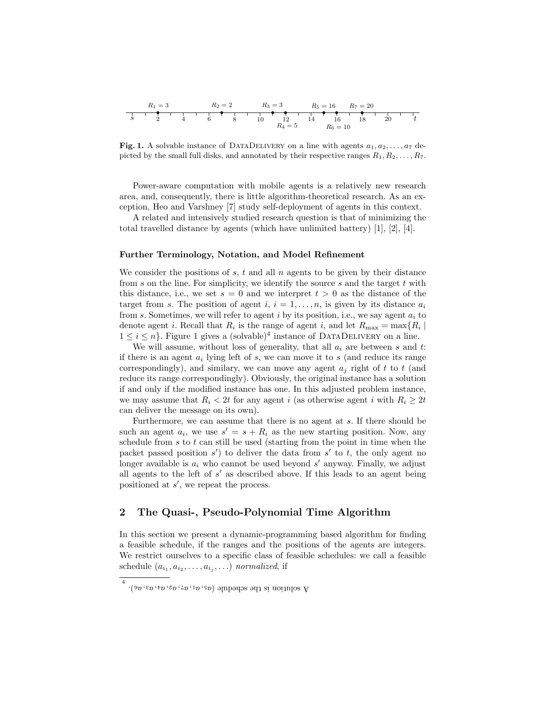| $R_1 = 3$ | $R_2 = 2$  | $R_3 = 3$ | $R_5 = 16$ | $R_7 = 20$ |      |      |      |      |      |      |     |
|-----------|------------|-----------|------------|------------|------|------|------|------|------|------|-----|
| $s$       | $2$        | $4$       | $6$        | $8$        | $10$ | $12$ | $14$ | $16$ | $18$ | $20$ | $t$ |
| $R_4 = 5$ | $R_6 = 10$ |           |            |            |      |      |      |      |      |      |     |

Fig. 1. A solvable instance of DATADELIVERY on a line with agents  $a_1, a_2, \ldots, a_7$  depicted by the small full disks, and annotated by their respective ranges  $R_1, R_2, \ldots, R_7$ .

Power-aware computation with mobile agents is a relatively new research area, and, consequently, there is little algorithm-theoretical research. As an exception, Heo and Varshney [7] study self-deployment of agents in this context.

A related and intensively studied research question is that of minimizing the total travelled distance by agents (which have unlimited battery) [1], [2], [4].

#### Further Terminology, Notation, and Model Refinement

We consider the positions of  $s, t$  and all  $n$  agents to be given by their distance from s on the line. For simplicity, we identify the source s and the target t with this distance, i.e., we set  $s = 0$  and we interpret  $t > 0$  as the distance of the target from s. The position of agent i,  $i = 1, \ldots, n$ , is given by its distance  $a_i$ from s. Sometimes, we will refer to agent i by its position, i.e., we say agent  $a_i$  to denote agent *i*. Recall that  $R_i$  is the range of agent *i*, and let  $R_{\text{max}} = \max\{R_i \mid$  $1 \leq i \leq n$ . Figure 1 gives a (solvable)<sup>4</sup> instance of DATADELIVERY on a line.

We will assume, without loss of generality, that all  $a_i$  are between s and t: if there is an agent  $a_i$  lying left of s, we can move it to s (and reduce its range correspondingly), and similary, we can move any agent  $a_i$  right of t to t (and reduce its range correspondingly). Obviously, the original instance has a solution if and only if the modified instance has one. In this adjusted problem instance, we may assume that  $R_i < 2t$  for any agent i (as otherwise agent i with  $R_i \geq 2t$ can deliver the message on its own).

Furthermore, we can assume that there is no agent at s. If there should be such an agent  $a_i$ , we use  $s' = s + R_i$  as the new starting position. Now, any schedule from  $s$  to  $t$  can still be used (starting from the point in time when the packet passed position  $s'$  to deliver the data from  $s'$  to  $t$ , the only agent no longer available is  $a_i$  who cannot be used beyond  $s'$  anyway. Finally, we adjust all agents to the left of  $s'$  as described above. If this leads to an agent being positioned at  $s'$ , we repeat the process.

# 2 The Quasi-, Pseudo-Polynomial Time Algorithm

In this section we present a dynamic-programming based algorithm for finding a feasible schedule, if the ranges and the positions of the agents are integers. We restrict ourselves to a specific class of feasible schedules: we call a feasible schedule  $(a_{i_1}, a_{i_2}, \ldots, a_{i_j}, \ldots)$  normalized, if

<sup>4</sup>  $\cdot (9p \cdot 6p \cdot 7p \cdot 2p \cdot 1p \cdot 9p)$  approximation is the set of  $\cdot$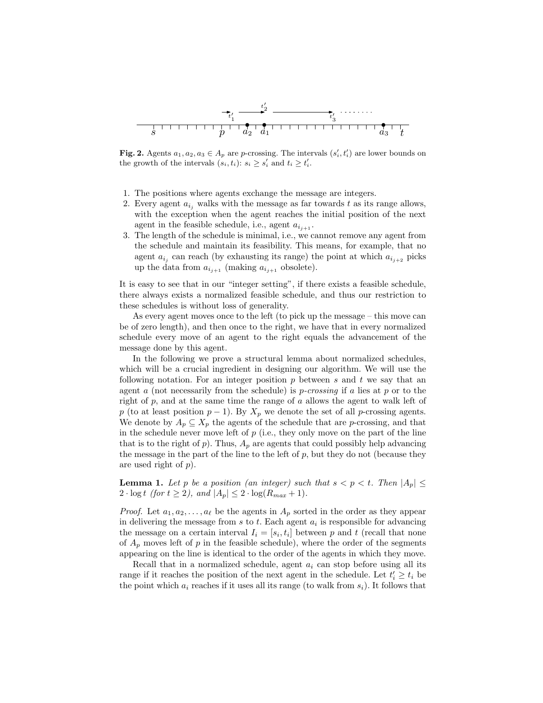

**Fig. 2.** Agents  $a_1, a_2, a_3 \in A_p$  are p-crossing. The intervals  $(s'_i, t'_i)$  are lower bounds on the growth of the intervals  $(s_i, t_i)$ :  $s_i \geq s'_i$  and  $t_i \geq t'_i$ .

- 1. The positions where agents exchange the message are integers.
- 2. Every agent  $a_{i,j}$  walks with the message as far towards t as its range allows, with the exception when the agent reaches the initial position of the next agent in the feasible schedule, i.e., agent  $a_{i_{i+1}}$ .
- 3. The length of the schedule is minimal, i.e., we cannot remove any agent from the schedule and maintain its feasibility. This means, for example, that no agent  $a_{i_j}$  can reach (by exhausting its range) the point at which  $a_{i_{j+2}}$  picks up the data from  $a_{i_{j+1}}$  (making  $a_{i_{j+1}}$  obsolete).

It is easy to see that in our "integer setting", if there exists a feasible schedule, there always exists a normalized feasible schedule, and thus our restriction to these schedules is without loss of generality.

As every agent moves once to the left (to pick up the message – this move can be of zero length), and then once to the right, we have that in every normalized schedule every move of an agent to the right equals the advancement of the message done by this agent.

In the following we prove a structural lemma about normalized schedules, which will be a crucial ingredient in designing our algorithm. We will use the following notation. For an integer position  $p$  between  $s$  and  $t$  we say that an agent a (not necessarily from the schedule) is *p*-crossing if a lies at  $p$  or to the right of p, and at the same time the range of a allows the agent to walk left of p (to at least position  $p-1$ ). By  $X_p$  we denote the set of all p-crossing agents. We denote by  $A_p \subseteq X_p$  the agents of the schedule that are *p*-crossing, and that in the schedule never move left of  $p$  (i.e., they only move on the part of the line that is to the right of  $p$ ). Thus,  $A_p$  are agents that could possibly help advancing the message in the part of the line to the left of  $p$ , but they do not (because they are used right of p).

**Lemma 1.** Let p be a position (an integer) such that  $s < p < t$ . Then  $|A_n| \le$  $2 \cdot \log t$  (for  $t \geq 2$ ), and  $|A_p| \leq 2 \cdot \log(R_{max} + 1)$ .

*Proof.* Let  $a_1, a_2, \ldots, a_\ell$  be the agents in  $A_p$  sorted in the order as they appear in delivering the message from  $s$  to  $t$ . Each agent  $a_i$  is responsible for advancing the message on a certain interval  $I_i = [s_i, t_i]$  between p and t (recall that none of  $A_p$  moves left of p in the feasible schedule), where the order of the segments appearing on the line is identical to the order of the agents in which they move.

Recall that in a normalized schedule, agent  $a_i$  can stop before using all its range if it reaches the position of the next agent in the schedule. Let  $t'_i \geq t_i$  be the point which  $a_i$  reaches if it uses all its range (to walk from  $s_i$ ). It follows that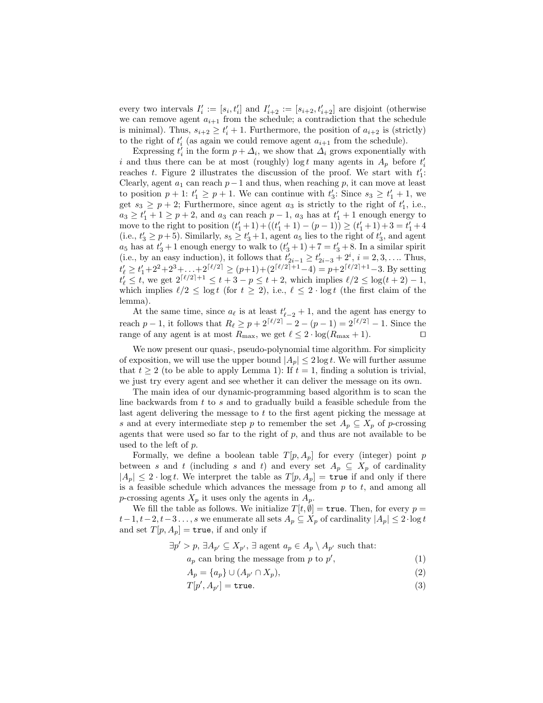every two intervals  $I'_i := [s_i, t'_i]$  and  $I'_{i+2} := [s_{i+2}, t'_{i+2}]$  are disjoint (otherwise we can remove agent  $a_{i+1}$  from the schedule; a contradiction that the schedule is minimal). Thus,  $s_{i+2} \geq t'_{i} + 1$ . Furthermore, the position of  $a_{i+2}$  is (strictly) to the right of  $t_i'$  (as again we could remove agent  $a_{i+1}$  from the schedule).

Expressing  $t_i'$  in the form  $p + \Delta_i$ , we show that  $\Delta_i$  grows exponentially with i and thus there can be at most (roughly)  $\log t$  many agents in  $A_p$  before  $t_i'$ reaches t. Figure 2 illustrates the discussion of the proof. We start with  $t_1$ : Clearly, agent  $a_1$  can reach  $p-1$  and thus, when reaching p, it can move at least to position  $p + 1$ :  $t'_1 \geq p + 1$ . We can continue with  $t'_3$ : Since  $s_3 \geq t'_1 + 1$ , we get  $s_3 \geq p+2$ ; Furthermore, since agent  $a_3$  is strictly to the right of  $t'_1$ , i.e.,  $a_3 \geq t'_1 + 1 \geq p + 2$ , and  $a_3$  can reach  $p - 1$ ,  $a_3$  has at  $t'_1 + 1$  enough energy to move to the right to position  $(t'_1 + 1) + ((t'_1 + 1) - (p - 1)) \ge (t'_1 + 1) + 3 = t'_1 + 4$ (i.e.,  $t'_3 \geq p+5$ ). Similarly,  $s_5 \geq t'_3+1$ , agent  $a_5$  lies to the right of  $t'_3$ , and agent  $a_5$  has at  $t'_3 + 1$  enough energy to walk to  $(t'_3 + 1) + 7 = t'_3 + 8$ . In a similar spirit (i.e., by an easy induction), it follows that  $t'_{2i-1} \ge t'_{2i-3} + 2^i$ ,  $i = 2, 3, \ldots$  Thus,  $t'_{\ell} \geq t'_{1} + 2^{2} + 2^{3} + \ldots + 2^{\lceil \ell/2 \rceil} \geq (p+1) + (2^{\lceil \ell/2 \rceil + 1} - 4) = p + 2^{\lceil \ell/2 \rceil + 1} - 3$ . By setting  $t_{\ell}^{j} \leq t$ , we get  $2^{\lceil \ell/2 \rceil + 1} \leq t + 3 - p \leq t + 2$ , which implies  $\ell/2 \leq \log(t + 2) - 1$ , which implies  $\ell/2 \leq \log t$  (for  $t \geq 2$ ), i.e.,  $\ell \leq 2 \cdot \log t$  (the first claim of the lemma).

At the same time, since  $a_{\ell}$  is at least  $t'_{\ell-2} + 1$ , and the agent has energy to reach p − 1, it follows that  $R_\ell \ge p + 2^{\lceil \ell/2 \rceil} - 2 - (p - 1) = 2^{\lceil \ell/2 \rceil} - 1$ . Since the range of any agent is at most  $R_{\text{max}}$ , we get  $\ell \leq 2 \cdot \log(R_{\text{max}} + 1)$ .

We now present our quasi-, pseudo-polynomial time algorithm. For simplicity of exposition, we will use the upper bound  $|A_p| \leq 2 \log t$ . We will further assume that  $t \geq 2$  (to be able to apply Lemma 1): If  $t = 1$ , finding a solution is trivial, we just try every agent and see whether it can deliver the message on its own.

The main idea of our dynamic-programming based algorithm is to scan the line backwards from  $t$  to  $s$  and to gradually build a feasible schedule from the last agent delivering the message to  $t$  to the first agent picking the message at s and at every intermediate step p to remember the set  $A_p \subseteq X_p$  of p-crossing agents that were used so far to the right of  $p$ , and thus are not available to be used to the left of p.

Formally, we define a boolean table  $T[p, A_p]$  for every (integer) point p between s and t (including s and t) and every set  $A_p \subseteq X_p$  of cardinality  $|A_p| \leq 2 \cdot \log t$ . We interpret the table as  $T[p, A_p] = \text{true}$  if and only if there is a feasible schedule which advances the message from  $p$  to  $t$ , and among all p-crossing agents  $X_p$  it uses only the agents in  $A_p$ .

We fill the table as follows. We initialize  $T[t, \emptyset] = \text{true}$ . Then, for every  $p =$  $t-1, t-2, t-3 \ldots, s$  we enumerate all sets  $A_p \subseteq X_p$  of cardinality  $|A_p| \leq 2 \cdot \log t$ and set  $T[p, A_p] = \text{true}$ , if and only if

$$
\exists p' > p, \exists A_{p'} \subseteq X_{p'}, \exists
$$
 agent  $a_p \in A_p \setminus A_{p'}$  such that:

 $a_p$  can bring the message from p to p'  $(1)$ 

$$
A_p = \{a_p\} \cup (A_{p'} \cap X_p),\tag{2}
$$

$$
T[p', A_{p'}] = \text{true.} \tag{3}
$$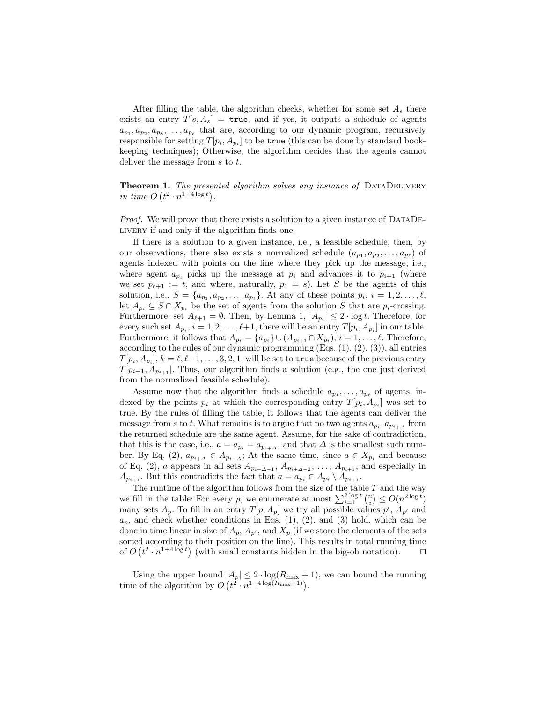After filling the table, the algorithm checks, whether for some set  $A_s$  there exists an entry  $T[s, A_s] = \text{true}$ , and if yes, it outputs a schedule of agents  $a_{p_1}, a_{p_2}, a_{p_3}, \ldots, a_{p_\ell}$  that are, according to our dynamic program, recursively responsible for setting  $T[p_i, A_{p_i}]$  to be true (this can be done by standard bookkeeping techniques); Otherwise, the algorithm decides that the agents cannot deliver the message from s to t.

Theorem 1. The presented algorithm solves any instance of DATADELIVERY in time  $O(t^2 \cdot n^{1+4\log t})$ .

Proof. We will prove that there exists a solution to a given instance of DATADElivery if and only if the algorithm finds one.

If there is a solution to a given instance, i.e., a feasible schedule, then, by our observations, there also exists a normalized schedule  $(a_{p_1}, a_{p_2}, \ldots, a_{p_\ell})$  of agents indexed with points on the line where they pick up the message, i.e., where agent  $a_{p_i}$  picks up the message at  $p_i$  and advances it to  $p_{i+1}$  (where we set  $p_{\ell+1} := t$ , and where, naturally,  $p_1 = s$ ). Let S be the agents of this solution, i.e.,  $S = \{a_{p_1}, a_{p_2}, \ldots, a_{p_\ell}\}\$ . At any of these points  $p_i, i = 1, 2, \ldots, \ell$ , let  $A_{p_i} \subseteq S \cap X_{p_i}$  be the set of agents from the solution S that are  $p_i$ -crossing. Furthermore, set  $A_{\ell+1} = \emptyset$ . Then, by Lemma 1,  $|A_{p_i}| \leq 2 \cdot \log t$ . Therefore, for every such set  $A_{p_i}$ ,  $i = 1, 2, \ldots, \ell+1$ , there will be an entry  $T[p_i, A_{p_i}]$  in our table. Furthermore, it follows that  $A_{p_i} = \{a_{p_i}\} \cup (A_{p_{i+1}} \cap X_{p_i}), i = 1, \ldots, \ell$ . Therefore, according to the rules of our dynamic programming  $(Eqs. (1), (2), (3))$ , all entries  $T[p_i, A_{p_i}], k = \ell, \ell{-}1, \ldots, 3, 2, 1$ , will be set to  $\tt true$  because of the previous entry  $T[p_{i+1}, A_{p_{i+1}}]$ . Thus, our algorithm finds a solution (e.g., the one just derived from the normalized feasible schedule).

Assume now that the algorithm finds a schedule  $a_{p_1}, \ldots, a_{p_\ell}$  of agents, indexed by the points  $p_i$  at which the corresponding entry  $T[p_i, A_{p_i}]$  was set to true. By the rules of filling the table, it follows that the agents can deliver the message from s to t. What remains is to argue that no two agents  $a_{p_i}, a_{p_{i+1}}$  from the returned schedule are the same agent. Assume, for the sake of contradiction, that this is the case, i.e.,  $a = a_{p_i} = a_{p_{i+{\Delta}}}$ , and that  $\Delta$  is the smallest such number. By Eq. (2),  $a_{p_{i+\Delta}} \in A_{p_{i+\Delta}}$ ; At the same time, since  $a \in X_{p_i}$  and because of Eq. (2), a appears in all sets  $A_{p_{i+\Delta-1}}, A_{p_{i+\Delta-2}}, \ldots, A_{p_{i+1}},$  and especially in  $A_{p_{i+1}}$ . But this contradicts the fact that  $a = a_{p_i} \in A_{p_i} \setminus A_{p_{i+1}}$ .

The runtime of the algorithm follows from the size of the table  $T$  and the way we fill in the table: For every p, we enumerate at most  $\sum_{i=1}^{2 \log t} {n \choose i} \leq O(n^{2 \log t})$ many sets  $A_p$ . To fill in an entry  $T[p, A_p]$  we try all possible values  $p'$ ,  $A_{p'}$  and  $a_p$ , and check whether conditions in Eqs. (1), (2), and (3) hold, which can be done in time linear in size of  $A_p$ ,  $A_{p'}$ , and  $X_p$  (if we store the elements of the sets sorted according to their position on the line). This results in total running time of  $O(t^2 \cdot n^{1+4\log t})$  (with small constants hidden in the big-oh notation).  $\square$ 

Using the upper bound  $|A_p| \leq 2 \cdot \log(R_{\max} + 1)$ , we can bound the running time of the algorithm by  $O(t^2 \cdot n^{1+4\log(R_{\max}+1)})$ .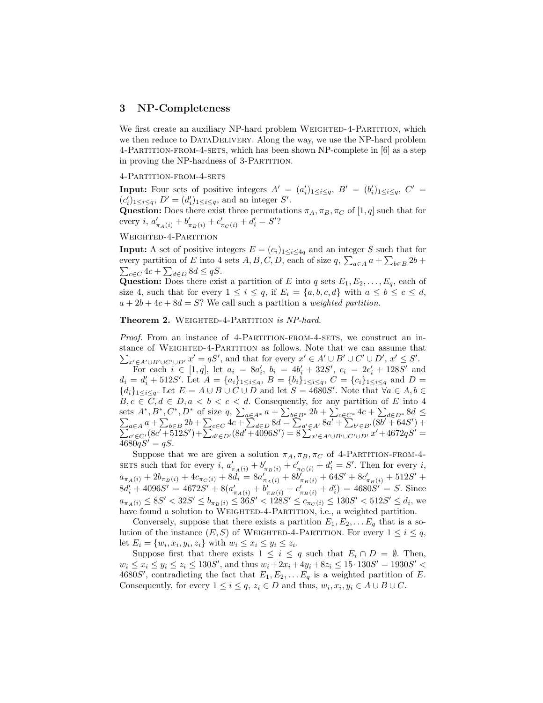#### 3 NP-Completeness

We first create an auxiliary NP-hard problem WEIGHTED-4-PARTITION, which we then reduce to DATADELIVERY. Along the way, we use the NP-hard problem 4-Partition-from-4-sets, which has been shown NP-complete in [6] as a step in proving the NP-hardness of 3-PARTITION.

#### 4-Partition-from-4-sets

**Input:** Four sets of positive integers  $A' = (a'_i)_{1 \leq i \leq q}$ ,  $B' = (b'_i)_{1 \leq i \leq q}$ ,  $C' =$  $(c'_i)_{1 \leq i \leq q}, D' = (d'_i)_{1 \leq i \leq q}$ , and an integer S'.

Question: Does there exist three permutations  $\pi_A, \pi_B, \pi_C$  of  $[1, q]$  such that for every *i*,  $a'_{\pi_A(i)} + b'_{\pi_B(i)} + c'_{\pi_C(i)} + d'_i = S'$ ?

## WEIGHTED-4-PARTITION

**Input:** A set of positive integers  $E = (e_i)_{1 \leq i \leq 4q}$  and an integer S such that for every partition of E into 4 sets  $A, B, C, D$ , each of size  $q$ ,  $\sum_{a \in A} a + \sum_{b \in B} 2b$  +  $\sum_{c \in C} 4c + \sum_{d \in D} 8d \leq qS.$ 

Question: Does there exist a partition of E into q sets  $E_1, E_2, \ldots, E_q$ , each of size 4, such that for every  $1 \leq i \leq q$ , if  $E_i = \{a, b, c, d\}$  with  $a \leq b \leq c \leq d$ ,  $a + 2b + 4c + 8d = S$ ? We call such a partition a weighted partition.

#### Theorem 2. WEIGHTED-4-PARTITION is NP-hard.

Proof. From an instance of 4-PARTITION-FROM-4-SETS, we construct an instance of WEIGHTED-4-PARTITION as follows. Note that we can assume that  $\sum_{x'\in A'\cup B'\cup C'\cup D'} x' = qS'$ , and that for every  $x'\in A'\cup B'\cup C'\cup D'$ ,  $x'\leq S'$ .

For each  $i \in [1, q]$ , let  $a_i = 8a'_i$ ,  $b_i = 4b'_i + 32S'$ ,  $c_i = 2c'_i + 128S'$  and  $d_i = d'_i + 512S'$ . Let  $A = \{a_i\}_{1 \leq i \leq q}$ ,  $B = \{b_i\}_{1 \leq i \leq q}$ ,  $C = \{c_i\}_{1 \leq i \leq q}$  and  $D =$  ${d_i}_{1 \leq i \leq q}$ . Let  $E = A \cup B \cup C \cup \overline{D}$  and let  $S = 4680S'$ . Note that  $\forall a \in A, b \in \overline{D}$  $B, c \in C, d \in D, a < b < c < d$ . Consequently, for any partition of E into 4 sets  $A^*, B^*, C^*, D^*$  of size  $q, \sum_{a \in A^*} a + \sum_{b \in B^*} 2b + \sum_{c \in C^*} 4c + \sum$ P  $_{d\in D^*}$  8 $d \leq$  $a \in A$   $a + \sum_{b \in B} 2b + \sum_{c \in C} 4c + \sum_{d \in D} 8d = \sum_{a' \in A'} 8a' + \sum_{b' \in B'} (8b' + 64S')$ P  $) +$  $\sum_{c' \in C'} (8c' + 512S') + \sum_{d' \in D'} (8d' + 4096S') = 8 \sum_{x' \in A' \cup B' \cup C' \cup D'} x' + 4672qS' =$  $4680qS' = qS.$ 

Suppose that we are given a solution  $\pi_A, \pi_B, \pi_C$  of 4-PARTITION-FROM-4-SETS such that for every  $i$ ,  $a'_{\pi_A(i)} + b'_{\pi_B(i)} + c'_{\pi_C(i)} + d'_i = S'$ . Then for every i,  $a_{\pi_A(i)} + 2b_{\pi_B(i)} + 4c_{\pi_C(i)} + 8d_i = 8a'_{\pi_A(i)} + 8b'_{\pi_B(i)} + 64S' + 8c'_{\pi_B(i)} + 512S' +$  $8d'_i + 4096S' = 4672S' + 8(a'_{\pi_A(i)} + b'_{\pi_B(i)} + c'_{\pi_B(i)} + d'_i) = 4680S' = S$ . Since  $a_{\pi_A(i)} \leq 8S' < 32S' \leq b_{\pi_B(i)} \leq 36S' < 128S' \leq c_{\pi_C(i)} \leq 130S' < 512S' \leq d_i$ , we have found a solution to WEIGHTED-4-PARTITION, i.e., a weighted partition.

Conversely, suppose that there exists a partition  $E_1, E_2, \ldots E_q$  that is a solution of the instance  $(E, S)$  of WEIGHTED-4-PARTITION. For every  $1 \leq i \leq q$ , let  $E_i = \{w_i, x_i, y_i, z_i\}$  with  $w_i \leq x_i \leq y_i \leq z_i$ .

Suppose first that there exists  $1 \leq i \leq q$  such that  $E_i \cap D = \emptyset$ . Then,  $w_i \le x_i \le y_i \le z_i \le 130S'$ , and thus  $w_i + 2x_i + 4y_i + 8z_i \le 15 \cdot 130S' = 1930S' <$ 4680S', contradicting the fact that  $E_1, E_2, \ldots E_q$  is a weighted partition of E. Consequently, for every  $1 \leq i \leq q$ ,  $z_i \in D$  and thus,  $w_i, x_i, y_i \in A \cup B \cup C$ .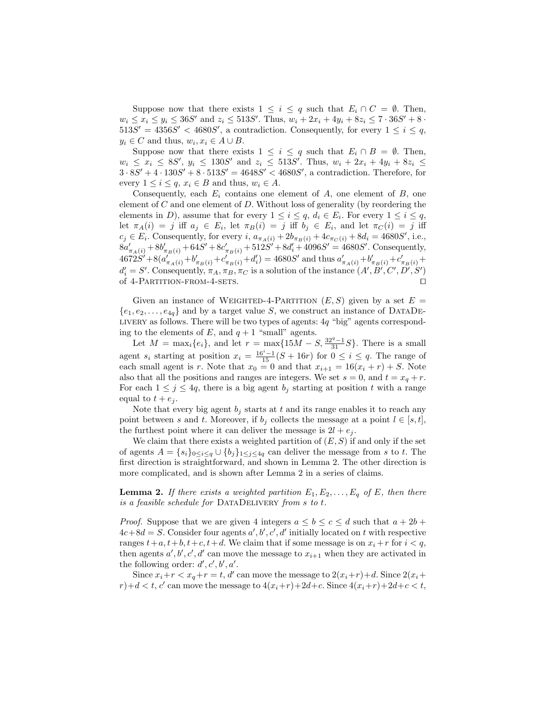Suppose now that there exists  $1 \leq i \leq q$  such that  $E_i \cap C = \emptyset$ . Then,  $w_i \le x_i \le y_i \le 36S'$  and  $z_i \le 513S'$ . Thus,  $w_i + 2x_i + 4y_i + 8z_i \le 7 \cdot 36S' + 8 \cdot$  $513S' = 4356S' < 4680S'$ , a contradiction. Consequently, for every  $1 \leq i \leq q$ ,  $y_i \in C$  and thus,  $w_i, x_i \in A \cup B$ .

Suppose now that there exists  $1 \leq i \leq q$  such that  $E_i \cap B = \emptyset$ . Then,  $w_i \le x_i \le 8S'$ ,  $y_i \le 130S'$  and  $z_i \le 513S'$ . Thus,  $w_i + 2x_i + 4y_i + 8z_i \le$  $3.8S' + 4.130S' + 8.513S' = 4648S' < 4680S'$ , a contradiction. Therefore, for every  $1 \leq i \leq q$ ,  $x_i \in B$  and thus,  $w_i \in A$ .

Consequently, each  $E_i$  contains one element of  $A$ , one element of  $B$ , one element of  $C$  and one element of  $D$ . Without loss of generality (by reordering the elements in D), assume that for every  $1 \leq i \leq q$ ,  $d_i \in E_i$ . For every  $1 \leq i \leq q$ , let  $\pi_A(i) = j$  iff  $a_j \in E_i$ , let  $\pi_B(i) = j$  iff  $b_j \in E_i$ , and let  $\pi_C(i) = j$  iff  $c_j \in E_i$ . Consequently, for every i,  $a_{\pi_A(i)} + 2b_{\pi_B(i)} + 4c_{\pi_C(i)} + 8d_i = 4680S'$ , i.e.,  $8a'_{\pi_A(i)} + 8b'_{\pi_B(i)} + 64S' + 8c'_{\pi_B(i)} + 512S' + 8d'_i + 4096S' = 4680S'.$  Consequently,  $4672S' + 8(a'_{\pi_A(i)} + b'_{\pi_B(i)} + c'_{\pi_B(i)} + d'_i) = 4680S'$  and thus  $a'_{\pi_A(i)} + b'_{\pi_B(i)} + c'_{\pi_B(i)} +$  $d'_i = S'$ . Consequently,  $\pi_A, \pi_B, \pi_C$  is a solution of the instance  $(A', B', C', D', S')$ of  $4$ -Partition-from-4-sets.  $\square$ 

Given an instance of WEIGHTED-4-PARTITION  $(E, S)$  given by a set  $E =$  ${e_1, e_2, \ldots, e_{4q}}$  and by a target value S, we construct an instance of DATADE-LIVERY as follows. There will be two types of agents:  $4q$  "big" agents corresponding to the elements of E, and  $q + 1$  "small" agents.

Let  $M = \max_i \{e_i\}$ , and let  $r = \max\{15M - S, \frac{32^q - 1}{31}S\}$ . There is a small agent  $s_i$  starting at position  $x_i = \frac{16^i - 1}{15}(S + 16r)$  for  $0 \le i \le q$ . The range of each small agent is r. Note that  $x_0 = 0$  and that  $x_{i+1} = 16(x_i + r) + S$ . Note also that all the positions and ranges are integers. We set  $s = 0$ , and  $t = x_q + r$ . For each  $1 \leq j \leq 4q$ , there is a big agent  $b_j$  starting at position t with a range equal to  $t + e_j$ .

Note that every big agent  $b_j$  starts at t and its range enables it to reach any point between s and t. Moreover, if  $b_j$  collects the message at a point  $l \in [s, t]$ , the furthest point where it can deliver the message is  $2l + e_j$ .

We claim that there exists a weighted partition of  $(E, S)$  if and only if the set of agents  $A = \{s_i\}_{0 \leq i \leq q} \cup \{b_j\}_{1 \leq j \leq 4q}$  can deliver the message from s to t. The first direction is straightforward, and shown in Lemma 2. The other direction is more complicated, and is shown after Lemma 2 in a series of claims.

**Lemma 2.** If there exists a weighted partition  $E_1, E_2, \ldots, E_q$  of E, then there is a feasible schedule for DATADELIVERY from  $s$  to  $t$ .

*Proof.* Suppose that we are given 4 integers  $a \leq b \leq c \leq d$  such that  $a + 2b$  +  $4c+8d = S$ . Consider four agents  $a', b', c', d'$  initially located on t with respective ranges  $t+a, t+b, t+c, t+d$ . We claim that if some message is on  $x_i+r$  for  $i < q$ , then agents  $a', b', c', d'$  can move the message to  $x_{i+1}$  when they are activated in the following order:  $d', c', b', a'$ .

Since  $x_i + r < x_q + r = t$ , d' can move the message to  $2(x_i + r) + d$ . Since  $2(x_i + r)$  $r$ )+d < t, c' can move the message to  $4(x_i+r)+2d+c$ . Since  $4(x_i+r)+2d+c$ ,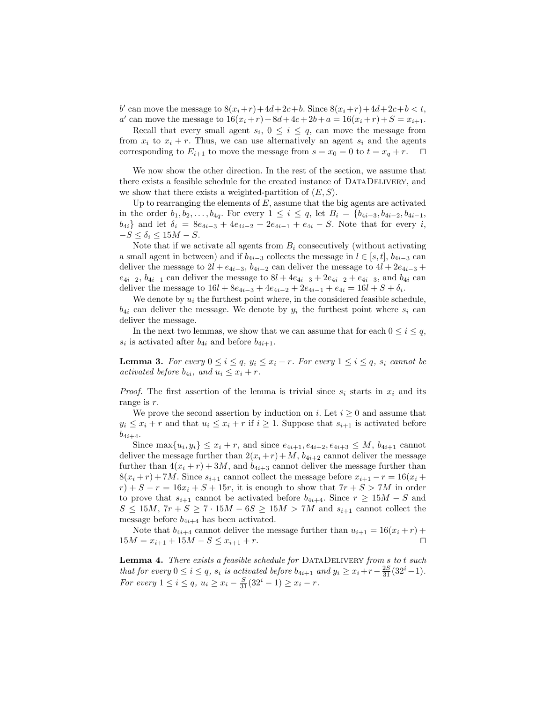b' can move the message to  $8(x_i + r) + 4d + 2c + b$ . Since  $8(x_i + r) + 4d + 2c + b < t$ , a' can move the message to  $16(x_i + r) + 8d + 4c + 2b + a = 16(x_i + r) + S = x_{i+1}$ .

Recall that every small agent  $s_i$ ,  $0 \leq i \leq q$ , can move the message from from  $x_i$  to  $x_i + r$ . Thus, we can use alternatively an agent  $s_i$  and the agents corresponding to  $E_{i+1}$  to move the message from  $s = x_0 = 0$  to  $t = x_q + r$ .  $\Box$ 

We now show the other direction. In the rest of the section, we assume that there exists a feasible schedule for the created instance of DataDelivery, and we show that there exists a weighted-partition of  $(E, S)$ .

Up to rearranging the elements of  $E$ , assume that the big agents are activated in the order  $b_1, b_2, \ldots, b_{4q}$ . For every  $1 \leq i \leq q$ , let  $B_i = \{b_{4i-3}, b_{4i-2}, b_{4i-1},$  $b_{4i}$ } and let  $\delta_i = 8e_{4i-3} + 4e_{4i-2} + 2e_{4i-1} + e_{4i} - S$ . Note that for every *i*,  $-S \leq \delta_i \leq 15M - S.$ 

Note that if we activate all agents from  $B_i$  consecutively (without activating a small agent in between) and if  $b_{4i-3}$  collects the message in  $l \in [s, t]$ ,  $b_{4i-3}$  can deliver the message to  $2l + e_{4i-3}$ ,  $b_{4i-2}$  can deliver the message to  $4l + 2e_{4i-3}$  +  $e_{4i-2}, b_{4i-1}$  can deliver the message to  $8l + 4e_{4i-3} + 2e_{4i-2} + e_{4i-3}$ , and  $b_{4i}$  can deliver the message to  $16l + 8e_{4i-3} + 4e_{4i-2} + 2e_{4i-1} + e_{4i} = 16l + S + \delta_i$ .

We denote by  $u_i$  the furthest point where, in the considered feasible schedule,  $b_{4i}$  can deliver the message. We denote by  $y_i$  the furthest point where  $s_i$  can deliver the message.

In the next two lemmas, we show that we can assume that for each  $0 \leq i \leq q$ ,  $s_i$  is activated after  $b_{4i}$  and before  $b_{4i+1}$ .

**Lemma 3.** For every  $0 \le i \le q$ ,  $y_i \le x_i + r$ . For every  $1 \le i \le q$ ,  $s_i$  cannot be activated before  $b_{4i}$ , and  $u_i \leq x_i + r$ .

*Proof.* The first assertion of the lemma is trivial since  $s_i$  starts in  $x_i$  and its range is r.

We prove the second assertion by induction on i. Let  $i \geq 0$  and assume that  $y_i \leq x_i + r$  and that  $u_i \leq x_i + r$  if  $i \geq 1$ . Suppose that  $s_{i+1}$  is activated before  $b_{4i+4}.$ 

Since  $\max\{u_i, y_i\} \leq x_i + r$ , and since  $e_{4i+1}, e_{4i+2}, e_{4i+3} \leq M$ ,  $b_{4i+1}$  cannot deliver the message further than  $2(x_i + r) + M$ ,  $b_{4i+2}$  cannot deliver the message further than  $4(x_i + r) + 3M$ , and  $b_{4i+3}$  cannot deliver the message further than  $8(x_i + r) + 7M$ . Since  $s_{i+1}$  cannot collect the message before  $x_{i+1} - r = 16(x_i +$  $r$  +  $S - r = 16x_i + S + 15r$ , it is enough to show that  $7r + S > 7M$  in order to prove that  $s_{i+1}$  cannot be activated before  $b_{4i+4}$ . Since  $r \geq 15M - S$  and  $S \le 15M$ ,  $7r + S \ge 7 \cdot 15M - 6S \ge 15M > 7M$  and  $s_{i+1}$  cannot collect the message before  $b_{4i+4}$  has been activated.

Note that  $b_{4i+4}$  cannot deliver the message further than  $u_{i+1} = 16(x_i + r) +$  $15M = x_{i+1} + 15M - S \le x_{i+1} + r.$ 

Lemma 4. There exists a feasible schedule for DATADELIVERY from s to t such that for every  $0 \le i \le q$ ,  $s_i$  is activated before  $b_{4i+1}$  and  $y_i \ge x_i + r - \frac{2S}{31}(32^i-1)$ . For every  $1 \le i \le q$ ,  $u_i \ge x_i - \frac{S}{31}(32^i - 1) \ge x_i - r$ .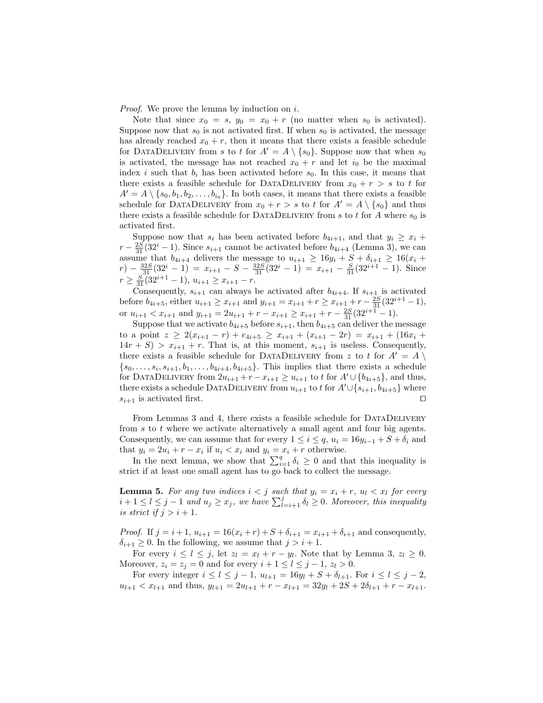*Proof.* We prove the lemma by induction on  $i$ .

Note that since  $x_0 = s$ ,  $y_0 = x_0 + r$  (no matter when  $s_0$  is activated). Suppose now that  $s_0$  is not activated first. If when  $s_0$  is activated, the message has already reached  $x_0 + r$ , then it means that there exists a feasible schedule for DATADELIVERY from s to t for  $A' = A \setminus \{s_0\}$ . Suppose now that when  $s_0$ is activated, the message has not reached  $x_0 + r$  and let  $i_0$  be the maximal index i such that  $b_i$  has been activated before  $s_0$ . In this case, it means that there exists a feasible schedule for DATADELIVERY from  $x_0 + r > s$  to t for  $A' = A \setminus \{s_0, b_1, b_2, \ldots, b_{i_0}\}.$  In both cases, it means that there exists a feasible schedule for DATADELIVERY from  $x_0 + r > s$  to t for  $A' = A \setminus \{s_0\}$  and thus there exists a feasible schedule for DATADELIVERY from s to t for A where  $s_0$  is activated first.

Suppose now that  $s_i$  has been activated before  $b_{4i+1}$ , and that  $y_i \geq x_i +$  $r - \frac{2S}{31}(32^i - 1)$ . Since  $s_{i+1}$  cannot be activated before  $b_{4i+4}$  (Lemma 3), we can assume that  $b_{4i+4}$  delivers the message to  $u_{i+1} \ge 16y_i + S + \delta_{i+1} \ge 16(x_i +$  $r) - \frac{32S}{31}(32^{i} - 1) = x_{i+1} - S - \frac{32S}{31}(32^{i} - 1) = x_{i+1} - \frac{S}{31}(32^{i+1} - 1)$ . Since  $r \geq \frac{S}{31}(32^{i+1}-1), u_{i+1} \geq x_{i+1}-r.$ 

Consequently,  $s_{i+1}$  can always be activated after  $b_{4i+4}$ . If  $s_{i+1}$  is activated before  $b_{4i+5}$ , either  $u_{i+1} \ge x_{i+1}$  and  $y_{i+1} = x_{i+1} + r \ge x_{i+1} + r - \frac{2S}{31}(32^{i+1}-1)$ , or  $u_{i+1} < x_{i+1}$  and  $y_{i+1} = 2u_{i+1} + r - x_{i+1} \ge x_{i+1} + r - \frac{2S}{31}(32^{i+1} - 1)$ .

Suppose that we activate  $b_{4i+5}$  before  $s_{i+1}$ , then  $b_{4i+5}$  can deliver the message to a point  $z \geq 2(x_{i+1} - r) + e_{4i+5} \geq x_{i+1} + (x_{i+1} - 2r) = x_{i+1} + (16x_i +$  $14r + S$  >  $x_{i+1} + r$ . That is, at this moment,  $s_{i+1}$  is useless. Consequently, there exists a feasible schedule for DATADELIVERY from z to t for  $A' = A \setminus$  $\{s_0, \ldots, s_i, s_{i+1}, b_1, \ldots, b_{4i+4}, b_{4i+5}\}.$  This implies that there exists a schedule for DATADELIVERY from  $2u_{i+1} + r - x_{i+1} \ge u_{i+1}$  to t for  $A' \cup \{b_{4i+5}\}\$ , and thus, there exists a schedule DATADELIVERY from  $u_{i+1}$  to t for  $A' \cup \{s_{i+1}, b_{4i+5}\}\$  where  $s_{i+1}$  is activated first.

From Lemmas 3 and 4, there exists a feasible schedule for DataDelivery from  $s$  to  $t$  where we activate alternatively a small agent and four big agents. Consequently, we can assume that for every  $1 \leq i \leq q$ ,  $u_i = 16y_{i-1} + S + \delta_i$  and that  $y_i = 2u_i + r - x_i$  if  $u_i < x_i$  and  $y_i = x_i + r$  otherwise.

In the next lemma, we show that  $\sum_{i=1}^{q} \delta_i \geq 0$  and that this inequality is strict if at least one small agent has to go back to collect the message.

**Lemma 5.** For any two indices  $i < j$  such that  $y_i = x_i + r$ ,  $u_i < x_i$  for every  $i+1 \leq l \leq j-1$  and  $u_j \geq x_j$ , we have  $\sum_{l=i+1}^j \delta_l \geq 0$ . Moreover, this inequality is strict if  $j > i + 1$ .

*Proof.* If  $j = i + 1$ ,  $u_{i+1} = 16(x_i + r) + S + \delta_{i+1} = x_{i+1} + \delta_{i+1}$  and consequently,  $\delta_{i+1} \geq 0$ . In the following, we assume that  $j > i + 1$ .

For every  $i \leq l \leq j$ , let  $z_l = x_l + r - y_l$ . Note that by Lemma 3,  $z_l \geq 0$ . Moreover,  $z_i = z_j = 0$  and for every  $i + 1 \leq l \leq j - 1$ ,  $z_l > 0$ .

For every integer  $i \leq l \leq j - 1$ ,  $u_{l+1} = 16y_l + S + \delta_{l+1}$ . For  $i \leq l \leq j - 2$ ,  $u_{l+1} < x_{l+1}$  and thus,  $y_{l+1} = 2u_{l+1} + r - x_{l+1} = 32y_l + 2S + 2\delta_{l+1} + r - x_{l+1}$ .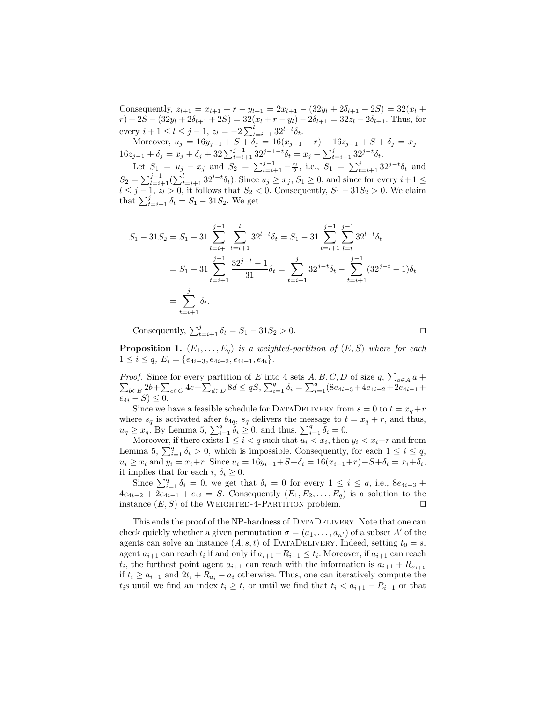Consequently,  $z_{l+1} = x_{l+1} + r - y_{l+1} = 2x_{l+1} - (32y_l + 2\delta_{l+1} + 2S) = 32(x_l +$  $r) + 2S - (32y_l + 2\delta_{l+1} + 2S) = 32(x_l + r - y_l) - 2\delta_{l+1} = 32z_l - 2\delta_{l+1}$ . Thus, for every  $i + 1 \leq l \leq j - 1$ ,  $z_l = -2 \sum_{t=i+1}^{l} 32^{l-t} \delta_t$ .

Moreover,  $u_j = 16y_{j-1} + S + \delta_j = 16(x_{j-1} + r) - 16z_{j-1} + S + \delta_j = x_j$  $16z_{j-1} + \delta_j = x_j + \delta_j + 32\sum_{t=i+1}^{j-1} 32^{j-1-t} \delta_t = x_j + \sum_{t=i+1}^{j} 32^{j-t} \delta_t.$ 

Let  $S_1 = u_j - x_j$  and  $S_2 = \sum_{l=i+1}^{j-1} -\frac{z_l}{2}$ , i.e.,  $S_1 = \sum_{t=i+1}^{j} 32^{j-t} \delta_t$  and  $S_2 = \sum_{l=i+1}^{j-1} (\sum_{t=i+1}^{l} 32^{l-t} \delta_t)$ . Since  $u_j \ge x_j$ ,  $S_1 \ge 0$ , and since for every  $i+1 \le$  $l \leq j-1, z_l > 0$ , it follows that  $S_2 < 0$ . Consequently,  $S_1 - 31S_2 > 0$ . We claim that  $\sum_{t=i+1}^{j} \delta_t = S_1 - 31S_2$ . We get

$$
S_1 - 31S_2 = S_1 - 31 \sum_{l=i+1}^{j-1} \sum_{t=i+1}^{l} 32^{l-t} \delta_t = S_1 - 31 \sum_{t=i+1}^{j-1} \sum_{l=t}^{j-1} 32^{l-t} \delta_t
$$
  
=  $S_1 - 31 \sum_{t=i+1}^{j-1} \frac{32^{j-t} - 1}{31} \delta_t = \sum_{t=i+1}^{j} 32^{j-t} \delta_t - \sum_{t=i+1}^{j-1} (32^{j-t} - 1) \delta_t$   
=  $\sum_{t=i+1}^{j} \delta_t$ .

Consequently,  $\sum_{t=i+1}^{j} \delta_t = S_1 - 31S_2 > 0.$ 

**Proposition 1.**  $(E_1, \ldots, E_q)$  is a weighted-partition of  $(E, S)$  where for each  $1 \leq i \leq q$ ,  $E_i = \{e_{4i-3}, e_{4i-2}, e_{4i-1}, e_{4i}\}.$ 

Proof. Since for every partition of E into 4 sets  $A, B, C, D$  of size  $q$ ,  $\sum_{a \in A} a + \sum_{b \in B} 2b + \sum_{c \in C} 4c + \sum_{d \in D} 8d \leq qS$ ,  $\sum_{i=1}^{q} \delta_i = \sum_{i=1}^{q} (8e_{4i-3} + 4e_{4i-2} + 2e_{4i-1} +$  $e_{4i} - S \leq 0.$ 

Since we have a feasible schedule for DATADELIVERY from  $s = 0$  to  $t = x_q + r$ where  $s_q$  is activated after  $b_{4q}$ ,  $s_q$  delivers the message to  $t = x_q + r$ , and thus,  $u_q \geq x_q$ . By Lemma 5,  $\sum_{i=1}^q \delta_i \geq 0$ , and thus,  $\sum_{i=1}^q \delta_i = 0$ .

Moreover, if there exists  $1 \leq i < q$  such that  $u_i < x_i$ , then  $y_i < x_i+r$  and from Lemma 5,  $\sum_{i=1}^{q} \delta_i > 0$ , which is impossible. Consequently, for each  $1 \leq i \leq q$ ,  $u_i \ge x_i$  and  $y_i = x_i + r$ . Since  $u_i = 16y_{i-1} + S + \delta_i = 16(x_{i-1} + r) + S + \delta_i = x_i + \delta_i$ , it implies that for each i,  $\delta_i \geq 0$ .

Since  $\sum_{i=1}^{q} \delta_i = 0$ , we get that  $\delta_i = 0$  for every  $1 \leq i \leq q$ , i.e.,  $8e_{4i-3}$  +  $4e_{4i-2} + 2e_{4i-1} + e_{4i} = S$ . Consequently  $(E_1, E_2, \ldots, E_q)$  is a solution to the instance  $(E, S)$  of the WEIGHTED-4-PARTITION problem.

This ends the proof of the NP-hardness of DATADELIVERY. Note that one can check quickly whether a given permutation  $\sigma = (a_1, \ldots, a_{n'})$  of a subset A' of the agents can solve an instance  $(A, s, t)$  of DATADELIVERY. Indeed, setting  $t_0 = s$ , agent  $a_{i+1}$  can reach  $t_i$  if and only if  $a_{i+1}-R_{i+1} \leq t_i$ . Moreover, if  $a_{i+1}$  can reach  $t_i$ , the furthest point agent  $a_{i+1}$  can reach with the information is  $a_{i+1} + R_{a_{i+1}}$ if  $t_i \ge a_{i+1}$  and  $2t_i + R_{a_i} - a_i$  otherwise. Thus, one can iteratively compute the  $t_i$ s until we find an index  $t_i \geq t$ , or until we find that  $t_i < a_{i+1} - R_{i+1}$  or that